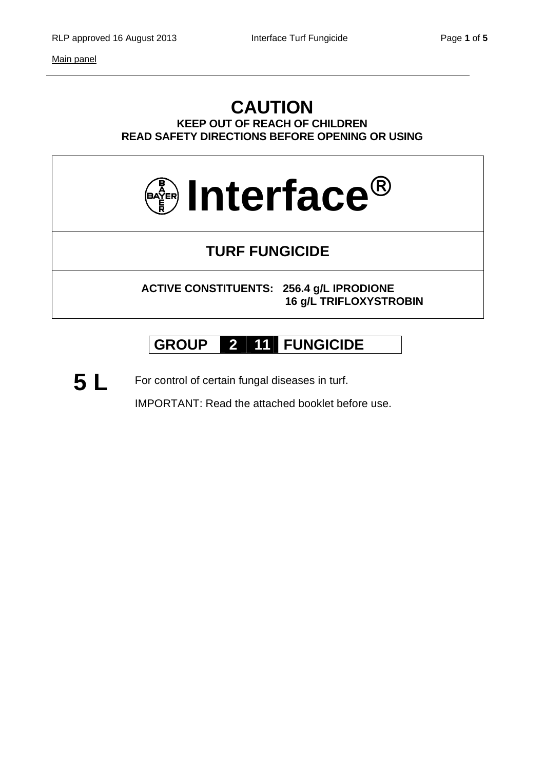### **CAUTION KEEP OUT OF REACH OF CHILDREN READ SAFETY DIRECTIONS BEFORE OPENING OR USING**



## **TURF FUNGICIDE**

**ACTIVE CONSTITUENTS: 256.4 g/L IPRODIONE 16 g/L TRIFLOXYSTROBIN** 

# **GROUP 2 11 FUNGICIDE**

5 L For control of certain fungal diseases in turf.

IMPORTANT: Read the attached booklet before use.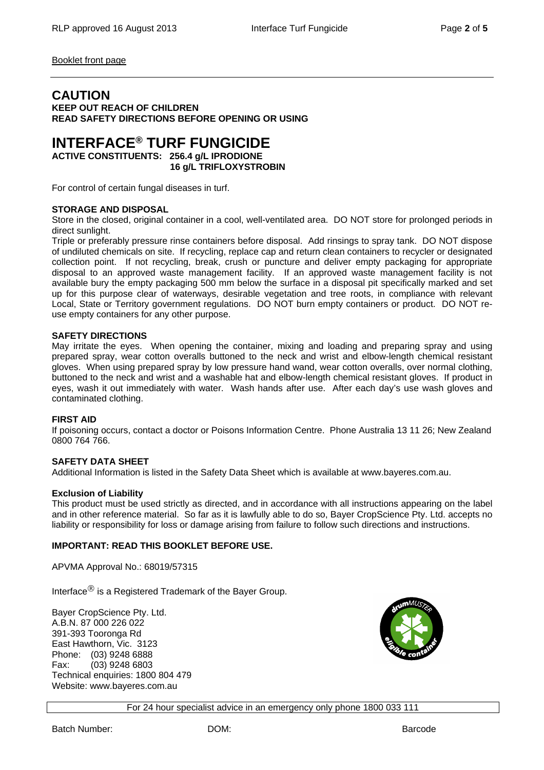Booklet front page

### **CAUTION**

**KEEP OUT REACH OF CHILDREN READ SAFETY DIRECTIONS BEFORE OPENING OR USING** 

## **INTERFACE® TURF FUNGICIDE**

**ACTIVE CONSTITUENTS: 256.4 g/L IPRODIONE 16 g/L TRIFLOXYSTROBIN** 

For control of certain fungal diseases in turf.

#### **STORAGE AND DISPOSAL**

Store in the closed, original container in a cool, well-ventilated area. DO NOT store for prolonged periods in direct sunlight.

Triple or preferably pressure rinse containers before disposal. Add rinsings to spray tank. DO NOT dispose of undiluted chemicals on site. If recycling, replace cap and return clean containers to recycler or designated collection point. If not recycling, break, crush or puncture and deliver empty packaging for appropriate disposal to an approved waste management facility. If an approved waste management facility is not available bury the empty packaging 500 mm below the surface in a disposal pit specifically marked and set up for this purpose clear of waterways, desirable vegetation and tree roots, in compliance with relevant Local, State or Territory government regulations. DO NOT burn empty containers or product. DO NOT reuse empty containers for any other purpose.

#### **SAFETY DIRECTIONS**

May irritate the eyes. When opening the container, mixing and loading and preparing spray and using prepared spray, wear cotton overalls buttoned to the neck and wrist and elbow-length chemical resistant gloves. When using prepared spray by low pressure hand wand, wear cotton overalls, over normal clothing, buttoned to the neck and wrist and a washable hat and elbow-length chemical resistant gloves. If product in eyes, wash it out immediately with water. Wash hands after use. After each day's use wash gloves and contaminated clothing.

#### **FIRST AID**

If poisoning occurs, contact a doctor or Poisons Information Centre. Phone Australia 13 11 26; New Zealand 0800 764 766.

#### **SAFETY DATA SHEET**

Additional Information is listed in the Safety Data Sheet which is available at www.bayeres.com.au.

#### **Exclusion of Liability**

This product must be used strictly as directed, and in accordance with all instructions appearing on the label and in other reference material. So far as it is lawfully able to do so, Bayer CropScience Pty. Ltd. accepts no liability or responsibility for loss or damage arising from failure to follow such directions and instructions.

#### **IMPORTANT: READ THIS BOOKLET BEFORE USE.**

APVMA Approval No.: 68019/57315

Interface $<sup>®</sup>$  is a Registered Trademark of the Bayer Group.</sup>

Bayer CropScience Pty. Ltd. A.B.N. 87 000 226 022 391-393 Tooronga Rd East Hawthorn, Vic. 3123 Phone: (03) 9248 6888 Fax: (03) 9248 6803 Technical enquiries: 1800 804 479 Website: www.bayeres.com.au

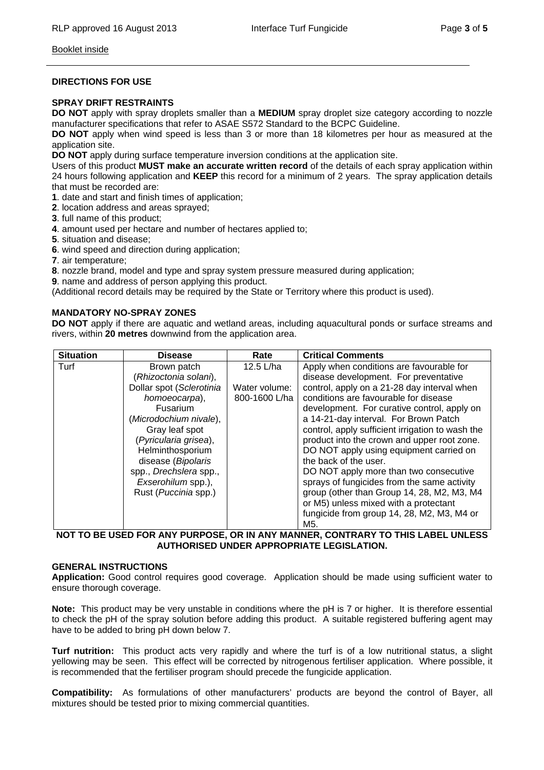#### Booklet inside

#### **DIRECTIONS FOR USE**

#### **SPRAY DRIFT RESTRAINTS**

**DO NOT** apply with spray droplets smaller than a **MEDIUM** spray droplet size category according to nozzle manufacturer specifications that refer to ASAE S572 Standard to the BCPC Guideline.

**DO NOT** apply when wind speed is less than 3 or more than 18 kilometres per hour as measured at the application site.

**DO NOT** apply during surface temperature inversion conditions at the application site.

Users of this product **MUST make an accurate written record** of the details of each spray application within 24 hours following application and **KEEP** this record for a minimum of 2 years. The spray application details that must be recorded are:

- **1**. date and start and finish times of application;
- **2**. location address and areas sprayed;
- **3**. full name of this product;
- **4**. amount used per hectare and number of hectares applied to;
- **5**. situation and disease;
- **6**. wind speed and direction during application;
- **7**. air temperature;
- **8**. nozzle brand, model and type and spray system pressure measured during application;
- **9**. name and address of person applying this product.

(Additional record details may be required by the State or Territory where this product is used).

#### **MANDATORY NO-SPRAY ZONES**

**DO NOT** apply if there are aquatic and wetland areas, including aquacultural ponds or surface streams and rivers, within **20 metres** downwind from the application area.

| <b>Situation</b> | <b>Disease</b>               | Rate          | <b>Critical Comments</b>                         |
|------------------|------------------------------|---------------|--------------------------------------------------|
| Turf             | Brown patch                  | 12.5 $L/ha$   | Apply when conditions are favourable for         |
|                  | (Rhizoctonia solani),        |               | disease development. For preventative            |
|                  | Dollar spot (Sclerotinia     | Water volume: | control, apply on a 21-28 day interval when      |
|                  | homoeocarpa),                | 800-1600 L/ha | conditions are favourable for disease            |
|                  | <b>Fusarium</b>              |               | development. For curative control, apply on      |
|                  | (Microdochium nivale),       |               | a 14-21-day interval. For Brown Patch            |
|                  | Gray leaf spot               |               | control, apply sufficient irrigation to wash the |
|                  | (Pyricularia grisea),        |               | product into the crown and upper root zone.      |
|                  | Helminthosporium             |               | DO NOT apply using equipment carried on          |
|                  | disease (Bipolaris           |               | the back of the user.                            |
|                  | spp., Drechslera spp.,       |               | DO NOT apply more than two consecutive           |
|                  | Exserohilum spp.),           |               | sprays of fungicides from the same activity      |
|                  | Rust ( <i>Puccinia</i> spp.) |               | group (other than Group 14, 28, M2, M3, M4       |
|                  |                              |               | or M5) unless mixed with a protectant            |
|                  |                              |               | fungicide from group 14, 28, M2, M3, M4 or       |
|                  |                              |               | M5.                                              |

#### **NOT TO BE USED FOR ANY PURPOSE, OR IN ANY MANNER, CONTRARY TO THIS LABEL UNLESS AUTHORISED UNDER APPROPRIATE LEGISLATION.**

#### **GENERAL INSTRUCTIONS**

**Application:** Good control requires good coverage. Application should be made using sufficient water to ensure thorough coverage.

**Note:** This product may be very unstable in conditions where the pH is 7 or higher. It is therefore essential to check the pH of the spray solution before adding this product. A suitable registered buffering agent may have to be added to bring pH down below 7.

**Turf nutrition:** This product acts very rapidly and where the turf is of a low nutritional status, a slight yellowing may be seen. This effect will be corrected by nitrogenous fertiliser application. Where possible, it is recommended that the fertiliser program should precede the fungicide application.

**Compatibility:** As formulations of other manufacturers' products are beyond the control of Bayer, all mixtures should be tested prior to mixing commercial quantities.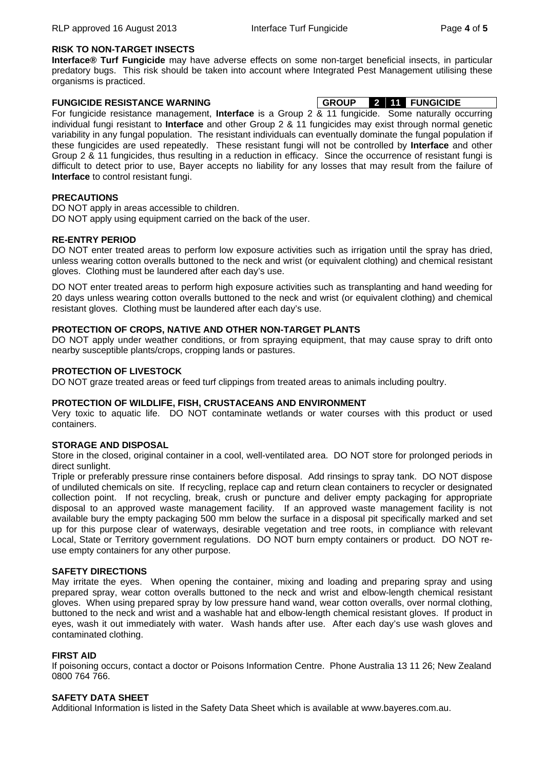#### **RISK TO NON-TARGET INSECTS**

**Interface® Turf Fungicide** may have adverse effects on some non-target beneficial insects, in particular predatory bugs. This risk should be taken into account where Integrated Pest Management utilising these organisms is practiced.

#### **FUNGICIDE RESISTANCE WARNING GROUP 2 11 FUNGICIDE**

For fungicide resistance management, **Interface** is a Group 2 & 11 fungicide. Some naturally occurring individual fungi resistant to **Interface** and other Group 2 & 11 fungicides may exist through normal genetic variability in any fungal population. The resistant individuals can eventually dominate the fungal population if these fungicides are used repeatedly. These resistant fungi will not be controlled by **Interface** and other Group 2 & 11 fungicides, thus resulting in a reduction in efficacy. Since the occurrence of resistant fungi is difficult to detect prior to use, Bayer accepts no liability for any losses that may result from the failure of **Interface** to control resistant fungi.

#### **PRECAUTIONS**

DO NOT apply in areas accessible to children.

DO NOT apply using equipment carried on the back of the user.

#### **RE-ENTRY PERIOD**

DO NOT enter treated areas to perform low exposure activities such as irrigation until the spray has dried, unless wearing cotton overalls buttoned to the neck and wrist (or equivalent clothing) and chemical resistant gloves. Clothing must be laundered after each day's use.

DO NOT enter treated areas to perform high exposure activities such as transplanting and hand weeding for 20 days unless wearing cotton overalls buttoned to the neck and wrist (or equivalent clothing) and chemical resistant gloves. Clothing must be laundered after each day's use.

#### **PROTECTION OF CROPS, NATIVE AND OTHER NON-TARGET PLANTS**

DO NOT apply under weather conditions, or from spraying equipment, that may cause spray to drift onto nearby susceptible plants/crops, cropping lands or pastures.

#### **PROTECTION OF LIVESTOCK**

DO NOT graze treated areas or feed turf clippings from treated areas to animals including poultry.

#### **PROTECTION OF WILDLIFE, FISH, CRUSTACEANS AND ENVIRONMENT**

Very toxic to aquatic life. DO NOT contaminate wetlands or water courses with this product or used containers.

#### **STORAGE AND DISPOSAL**

Store in the closed, original container in a cool, well-ventilated area. DO NOT store for prolonged periods in direct sunlight.

Triple or preferably pressure rinse containers before disposal. Add rinsings to spray tank. DO NOT dispose of undiluted chemicals on site. If recycling, replace cap and return clean containers to recycler or designated collection point. If not recycling, break, crush or puncture and deliver empty packaging for appropriate disposal to an approved waste management facility. If an approved waste management facility is not available bury the empty packaging 500 mm below the surface in a disposal pit specifically marked and set up for this purpose clear of waterways, desirable vegetation and tree roots, in compliance with relevant Local, State or Territory government regulations. DO NOT burn empty containers or product. DO NOT reuse empty containers for any other purpose.

#### **SAFETY DIRECTIONS**

May irritate the eyes. When opening the container, mixing and loading and preparing spray and using prepared spray, wear cotton overalls buttoned to the neck and wrist and elbow-length chemical resistant gloves. When using prepared spray by low pressure hand wand, wear cotton overalls, over normal clothing, buttoned to the neck and wrist and a washable hat and elbow-length chemical resistant gloves. If product in eyes, wash it out immediately with water. Wash hands after use. After each day's use wash gloves and contaminated clothing.

#### **FIRST AID**

If poisoning occurs, contact a doctor or Poisons Information Centre. Phone Australia 13 11 26; New Zealand 0800 764 766.

#### **SAFETY DATA SHEET**

Additional Information is listed in the Safety Data Sheet which is available at www.bayeres.com.au.